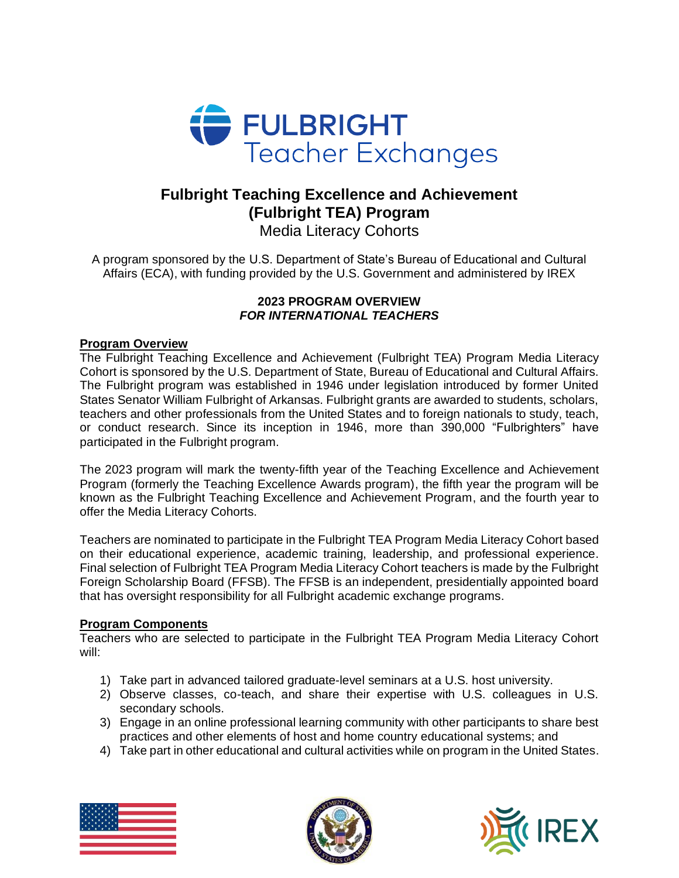

# **Fulbright Teaching Excellence and Achievement (Fulbright TEA) Program**

Media Literacy Cohorts

A program sponsored by the U.S. Department of State's Bureau of Educational and Cultural Affairs (ECA), with funding provided by the U.S. Government and administered by IREX

## **2023 PROGRAM OVERVIEW** *FOR INTERNATIONAL TEACHERS*

## **Program Overview**

The Fulbright Teaching Excellence and Achievement (Fulbright TEA) Program Media Literacy Cohort is sponsored by the U.S. Department of State, Bureau of Educational and Cultural Affairs. The Fulbright program was established in 1946 under legislation introduced by former United States Senator William Fulbright of Arkansas. Fulbright grants are awarded to students, scholars, teachers and other professionals from the United States and to foreign nationals to study, teach, or conduct research. Since its inception in 1946, more than 390,000 "Fulbrighters" have participated in the Fulbright program.

The 2023 program will mark the twenty-fifth year of the Teaching Excellence and Achievement Program (formerly the Teaching Excellence Awards program), the fifth year the program will be known as the Fulbright Teaching Excellence and Achievement Program, and the fourth year to offer the Media Literacy Cohorts.

Teachers are nominated to participate in the Fulbright TEA Program Media Literacy Cohort based on their educational experience, academic training, leadership, and professional experience. Final selection of Fulbright TEA Program Media Literacy Cohort teachers is made by the Fulbright Foreign Scholarship Board (FFSB). The FFSB is an independent, presidentially appointed board that has oversight responsibility for all Fulbright academic exchange programs.

## **Program Components**

Teachers who are selected to participate in the Fulbright TEA Program Media Literacy Cohort will:

- 1) Take part in advanced tailored graduate-level seminars at a U.S. host university.
- 2) Observe classes, co-teach, and share their expertise with U.S. colleagues in U.S. secondary schools.
- 3) Engage in an online professional learning community with other participants to share best practices and other elements of host and home country educational systems; and
- 4) Take part in other educational and cultural activities while on program in the United States.





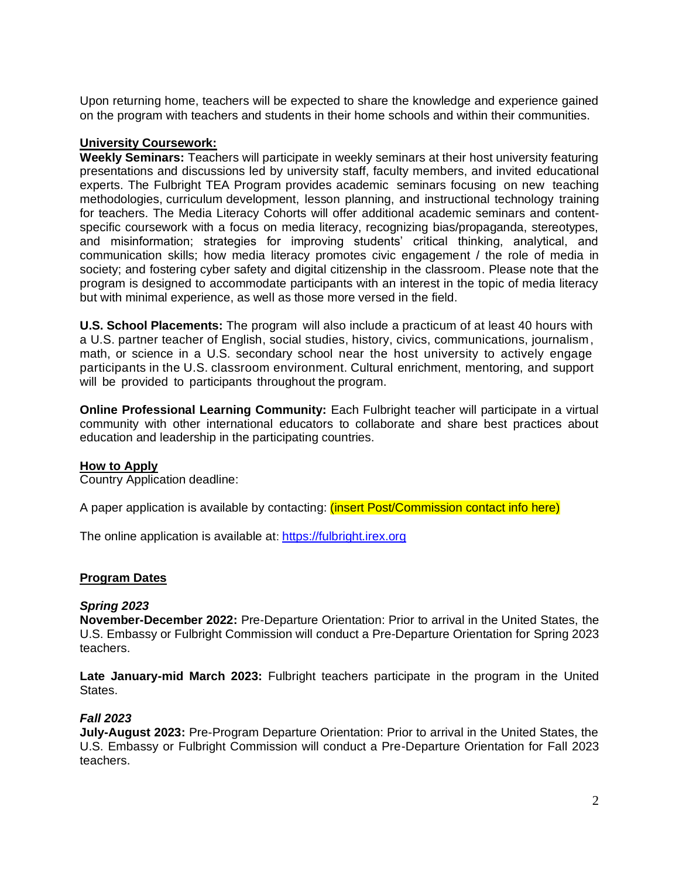Upon returning home, teachers will be expected to share the knowledge and experience gained on the program with teachers and students in their home schools and within their communities.

### **University Coursework:**

**Weekly Seminars:** Teachers will participate in weekly seminars at their host university featuring presentations and discussions led by university staff, faculty members, and invited educational experts. The Fulbright TEA Program provides academic seminars focusing on new teaching methodologies, curriculum development, lesson planning, and instructional technology training for teachers. The Media Literacy Cohorts will offer additional academic seminars and contentspecific coursework with a focus on media literacy, recognizing bias/propaganda, stereotypes, and misinformation; strategies for improving students' critical thinking, analytical, and communication skills; how media literacy promotes civic engagement / the role of media in society; and fostering cyber safety and digital citizenship in the classroom. Please note that the program is designed to accommodate participants with an interest in the topic of media literacy but with minimal experience, as well as those more versed in the field.

**U.S. School Placements:** The program will also include a practicum of at least 40 hours with a U.S. partner teacher of English, social studies, history, civics, communications, journalism, math, or science in a U.S. secondary school near the host university to actively engage participants in the U.S. classroom environment. Cultural enrichment, mentoring, and support will be provided to participants throughout the program.

**Online Professional Learning Community:** Each Fulbright teacher will participate in a virtual community with other international educators to collaborate and share best practices about education and leadership in the participating countries.

#### **How to Apply**

Country Application deadline:

A paper application is available by contacting: (insert Post/Commission contact info here)

The online application is available at: [https://fulbright.irex.org](https://fulbright.irex.org/)

#### **Program Dates**

#### *Spring 2023*

**November-December 2022:** Pre-Departure Orientation: Prior to arrival in the United States, the U.S. Embassy or Fulbright Commission will conduct a Pre-Departure Orientation for Spring 2023 teachers.

**Late January-mid March 2023:** Fulbright teachers participate in the program in the United States.

#### *Fall 2023*

**July-August 2023:** Pre-Program Departure Orientation: Prior to arrival in the United States, the U.S. Embassy or Fulbright Commission will conduct a Pre-Departure Orientation for Fall 2023 teachers.